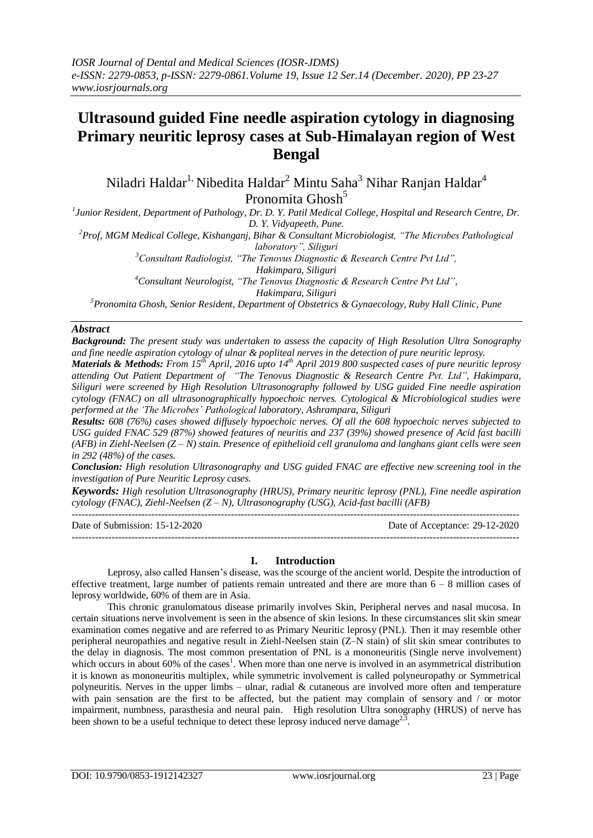# **Ultrasound guided Fine needle aspiration cytology in diagnosing Primary neuritic leprosy cases at Sub-Himalayan region of West Bengal**

Niladri Haldar<sup>1,</sup> Nibedita Haldar<sup>2</sup> Mintu Saha<sup>3</sup> Nihar Ranjan Haldar<sup>4</sup> Pronomita Ghosh<sup>5</sup>

*1 Junior Resident, Department of Pathology, Dr. D. Y. Patil Medical College, Hospital and Research Centre, Dr. D. Y. Vidyapeeth, Pune.*

*<sup>2</sup>Prof, MGM Medical College, Kishanganj, Bihar & Consultant Microbiologist, "The Microbes Pathological laboratory", Siliguri*

*<sup>3</sup>Consultant Radiologist, "The Tenovus Diagnostic & Research Centre Pvt Ltd",* 

*Hakimpara, Siliguri*

*<sup>4</sup>Consultant Neurologist, "The Tenovus Diagnostic & Research Centre Pvt Ltd",* 

*Hakimpara, Siliguri*

*<sup>5</sup>Pronomita Ghosh, Senior Resident, Department of Obstetrics & Gynaecology, Ruby Hall Clinic, Pune*

# *Abstract*

*Background: The present study was undertaken to assess the capacity of High Resolution Ultra Sonography and fine needle aspiration cytology of ulnar & popliteal nerves in the detection of pure neuritic leprosy.* 

*Materials & Methods: From 15th April, 2016 upto 14th April 2019 800 suspected cases of pure neuritic leprosy attending Out Patient Department of "The Tenovus Diagnostic & Research Centre Pvt. Ltd", Hakimpara, Siliguri were screened by High Resolution Ultrasonography followed by USG guided Fine needle aspiration cytology (FNAC) on all ultrasonographically hypoechoic nerves. Cytological & Microbiological studies were performed at the 'The Microbes' Pathological laboratory, Ashrampara, Siliguri*

*Results: 608 (76%) cases showed diffusely hypoechoic nerves. Of all the 608 hypoechoic nerves subjected to USG guided FNAC 529 (87%) showed features of neuritis and 237 (39%) showed presence of Acid fast bacilli (AFB) in Ziehl-Neelsen (Z – N) stain. Presence of epithelioid cell granuloma and langhans giant cells were seen in 292 (48%) of the cases.*

*Conclusion: High resolution Ultrasonography and USG guided FNAC are effective new screening tool in the investigation of Pure Neuritic Leprosy cases.*

*Keywords: High resolution Ultrasonography (HRUS), Primary neuritic leprosy (PNL), Fine needle aspiration cytology (FNAC), Ziehl-Neelsen (Z – N), Ultrasonography (USG), Acid-fast bacilli (AFB)*

 $-1.1$ 

Date of Submission: 15-12-2020 Date of Acceptance: 29-12-2020

## **I. Introduction**

---------------------------------------------------------------------------------------------------------------------------------------

Leprosy, also called Hansen's disease, was the scourge of the ancient world. Despite the introduction of effective treatment, large number of patients remain untreated and there are more than 6 – 8 million cases of leprosy worldwide, 60% of them are in Asia.

This chronic granulomatous disease primarily involves Skin, Peripheral nerves and nasal mucosa. In certain situations nerve involvement is seen in the absence of skin lesions. In these circumstances slit skin smear examination comes negative and are referred to as Primary Neuritic leprosy (PNL). Then it may resemble other peripheral neuropathies and negative result in Ziehl-Neelsen stain (Z–N stain) of slit skin smear contributes to the delay in diagnosis. The most common presentation of PNL is a mononeuritis (Single nerve involvement) which occurs in about 60% of the cases<sup>1</sup>. When more than one nerve is involved in an asymmetrical distribution it is known as mononeuritis multiplex, while symmetric involvement is called polyneuropathy or Symmetrical polyneuritis. Nerves in the upper limbs – ulnar, radial & cutaneous are involved more often and temperature with pain sensation are the first to be affected, but the patient may complain of sensory and / or motor impairment, numbness, parasthesia and neural pain. High resolution Ultra sonography (HRUS) of nerve has been shown to be a useful technique to detect these leprosy induced nerve damage<sup>2,3</sup>.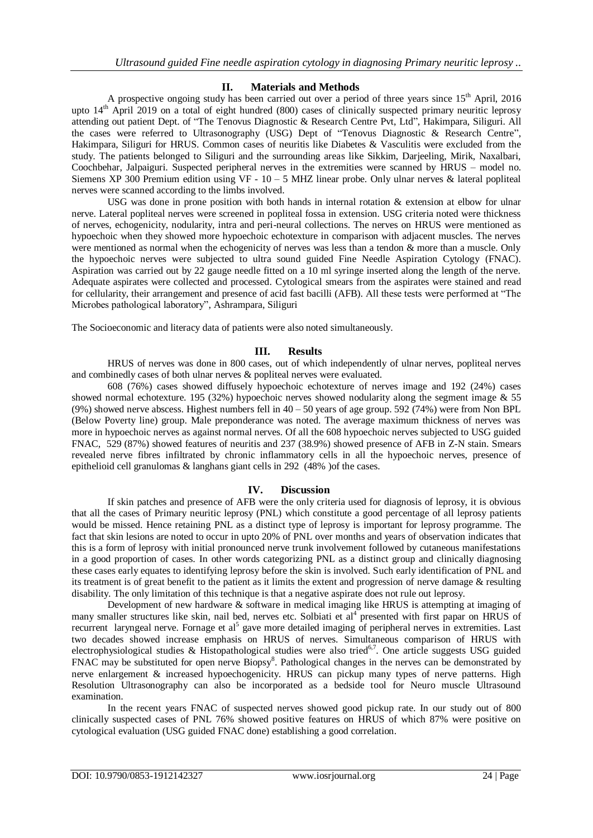## **II. Materials and Methods**

A prospective ongoing study has been carried out over a period of three years since 15<sup>th</sup> April, 2016 upto 14<sup>th</sup> April 2019 on a total of eight hundred (800) cases of clinically suspected primary neuritic leprosy attending out patient Dept. of "The Tenovus Diagnostic & Research Centre Pvt, Ltd", Hakimpara, Siliguri. All the cases were referred to Ultrasonography (USG) Dept of "Tenovus Diagnostic & Research Centre", Hakimpara, Siliguri for HRUS. Common cases of neuritis like Diabetes & Vasculitis were excluded from the study. The patients belonged to Siliguri and the surrounding areas like Sikkim, Darjeeling, Mirik, Naxalbari, Coochbehar, Jalpaiguri. Suspected peripheral nerves in the extremities were scanned by HRUS – model no. Siemens XP 300 Premium edition using VF -  $10 - 5$  MHZ linear probe. Only ulnar nerves & lateral popliteal nerves were scanned according to the limbs involved.

USG was done in prone position with both hands in internal rotation  $\&$  extension at elbow for ulnar nerve. Lateral popliteal nerves were screened in popliteal fossa in extension. USG criteria noted were thickness of nerves, echogenicity, nodularity, intra and peri-neural collections. The nerves on HRUS were mentioned as hypoechoic when they showed more hypoechoic echotexture in comparison with adjacent muscles. The nerves were mentioned as normal when the echogenicity of nerves was less than a tendon  $\&$  more than a muscle. Only the hypoechoic nerves were subjected to ultra sound guided Fine Needle Aspiration Cytology (FNAC). Aspiration was carried out by 22 gauge needle fitted on a 10 ml syringe inserted along the length of the nerve. Adequate aspirates were collected and processed. Cytological smears from the aspirates were stained and read for cellularity, their arrangement and presence of acid fast bacilli (AFB). All these tests were performed at "The Microbes pathological laboratory", Ashrampara, Siliguri

The Socioeconomic and literacy data of patients were also noted simultaneously.

### **III. Results**

HRUS of nerves was done in 800 cases, out of which independently of ulnar nerves, popliteal nerves and combinedly cases of both ulnar nerves & popliteal nerves were evaluated.

608 (76%) cases showed diffusely hypoechoic echotexture of nerves image and 192 (24%) cases showed normal echotexture. 195 (32%) hypoechoic nerves showed nodularity along the segment image & 55 (9%) showed nerve abscess. Highest numbers fell in  $40 - 50$  years of age group. 592 (74%) were from Non BPL (Below Poverty line) group. Male preponderance was noted. The average maximum thickness of nerves was more in hypoechoic nerves as against normal nerves. Of all the 608 hypoechoic nerves subjected to USG guided FNAC, 529 (87%) showed features of neuritis and 237 (38.9%) showed presence of AFB in Z-N stain. Smears revealed nerve fibres infiltrated by chronic inflammatory cells in all the hypoechoic nerves, presence of epithelioid cell granulomas & langhans giant cells in 292 (48% )of the cases.

## **IV. Discussion**

If skin patches and presence of AFB were the only criteria used for diagnosis of leprosy, it is obvious that all the cases of Primary neuritic leprosy (PNL) which constitute a good percentage of all leprosy patients would be missed. Hence retaining PNL as a distinct type of leprosy is important for leprosy programme. The fact that skin lesions are noted to occur in upto 20% of PNL over months and years of observation indicates that this is a form of leprosy with initial pronounced nerve trunk involvement followed by cutaneous manifestations in a good proportion of cases. In other words categorizing PNL as a distinct group and clinically diagnosing these cases early equates to identifying leprosy before the skin is involved. Such early identification of PNL and its treatment is of great benefit to the patient as it limits the extent and progression of nerve damage & resulting disability. The only limitation of this technique is that a negative aspirate does not rule out leprosy.

Development of new hardware & software in medical imaging like HRUS is attempting at imaging of many smaller structures like skin, nail bed, nerves etc. Solbiati et al<sup>4</sup> presented with first papar on HRUS of recurrent laryngeal nerve. Fornage et al<sup>5</sup> gave more detailed imaging of peripheral nerves in extremities. Last two decades showed increase emphasis on HRUS of nerves. Simultaneous comparison of HRUS with electrophysiological studies & Histopathological studies were also tried<sup>6,7</sup>. One article suggests USG guided FNAC may be substituted for open nerve Biopsy<sup>8</sup>. Pathological changes in the nerves can be demonstrated by nerve enlargement & increased hypoechogenicity. HRUS can pickup many types of nerve patterns. High Resolution Ultrasonography can also be incorporated as a bedside tool for Neuro muscle Ultrasound examination.

In the recent years FNAC of suspected nerves showed good pickup rate. In our study out of 800 clinically suspected cases of PNL 76% showed positive features on HRUS of which 87% were positive on cytological evaluation (USG guided FNAC done) establishing a good correlation.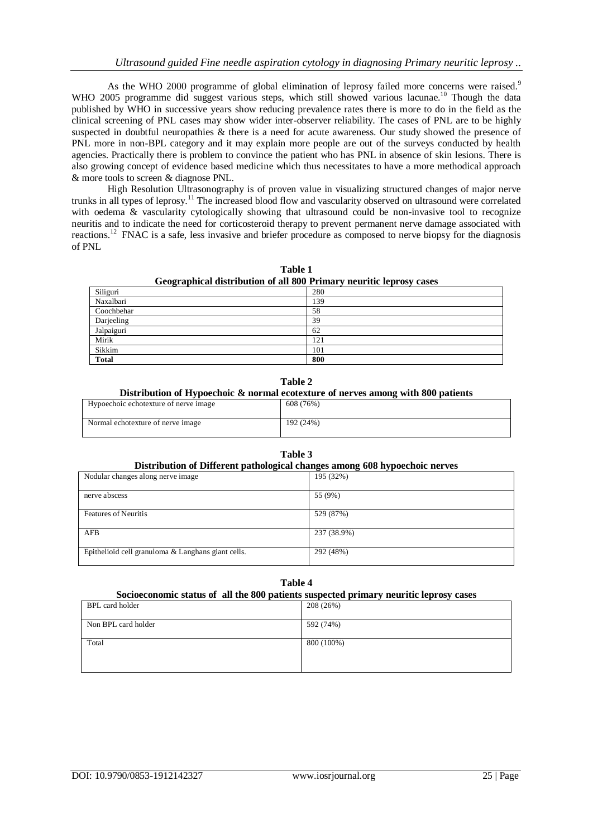As the WHO 2000 programme of global elimination of leprosy failed more concerns were raised.<sup>9</sup> WHO 2005 programme did suggest various steps, which still showed various lacunae.<sup>10</sup> Though the data published by WHO in successive years show reducing prevalence rates there is more to do in the field as the clinical screening of PNL cases may show wider inter-observer reliability. The cases of PNL are to be highly suspected in doubtful neuropathies & there is a need for acute awareness. Our study showed the presence of PNL more in non-BPL category and it may explain more people are out of the surveys conducted by health agencies. Practically there is problem to convince the patient who has PNL in absence of skin lesions. There is also growing concept of evidence based medicine which thus necessitates to have a more methodical approach & more tools to screen & diagnose PNL.

High Resolution Ultrasonography is of proven value in visualizing structured changes of major nerve trunks in all types of leprosy.<sup>11</sup> The increased blood flow and vascularity observed on ultrasound were correlated with oedema & vascularity cytologically showing that ultrasound could be non-invasive tool to recognize neuritis and to indicate the need for corticosteroid therapy to prevent permanent nerve damage associated with reactions.<sup>12</sup> FNAC is a safe, less invasive and briefer procedure as composed to nerve biopsy for the diagnosis of PNL

| Table 1                                                             |
|---------------------------------------------------------------------|
| Geographical distribution of all 800 Primary neuritic leprosy cases |

| Siliguri     | 280 |
|--------------|-----|
| Naxalbari    | 139 |
| Coochbehar   | 58  |
| Darjeeling   | 39  |
| Jalpaiguri   | 62  |
| Mirik        | 121 |
| Sikkim       | 101 |
| <b>Total</b> | 800 |

**Table 2**

**Distribution of Hypoechoic & normal ecotexture of nerves among with 800 patients**

| Hypoechoic echotexture of nerve image | 608 (76%) |
|---------------------------------------|-----------|
| Normal echotexture of nerve image     | 192 (24%) |

| Table 3<br>Distribution of Different pathological changes among 608 hypoechoic nerves |             |  |
|---------------------------------------------------------------------------------------|-------------|--|
|                                                                                       |             |  |
|                                                                                       |             |  |
| nerve abscess                                                                         | 55 (9%)     |  |
|                                                                                       |             |  |
| <b>Features of Neuritis</b>                                                           | 529 (87%)   |  |
|                                                                                       |             |  |
| AFB                                                                                   | 237 (38.9%) |  |
|                                                                                       |             |  |
| Epithelioid cell granuloma & Langhans giant cells.                                    | 292 (48%)   |  |
|                                                                                       |             |  |

**Table 4**

#### **Socioeconomic status of all the 800 patients suspected primary neuritic leprosy cases**

| BPL card holder     | 208 (26%)  |
|---------------------|------------|
| Non BPL card holder | 592 (74%)  |
| Total               | 800 (100%) |
|                     |            |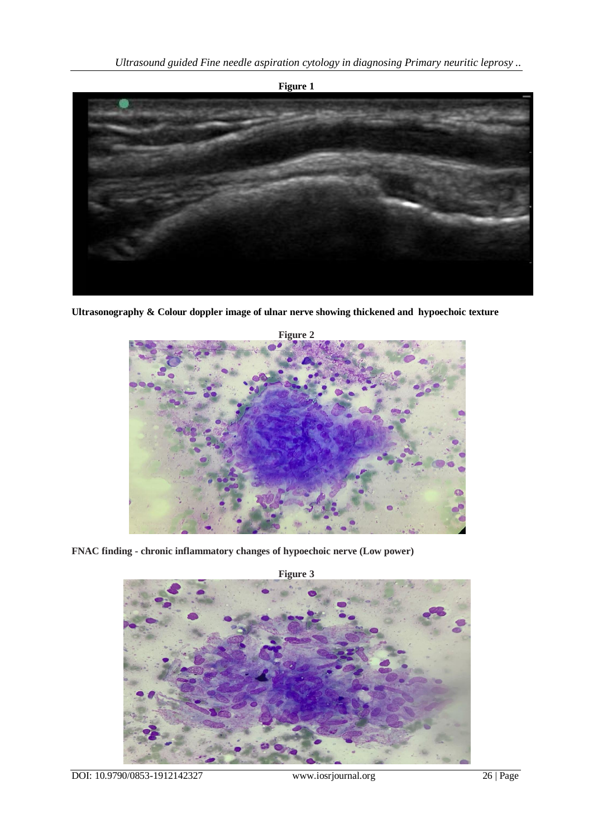

**Ultrasonography & Colour doppler image of ulnar nerve showing thickened and hypoechoic texture**



**FNAC finding - chronic inflammatory changes of hypoechoic nerve (Low power)**